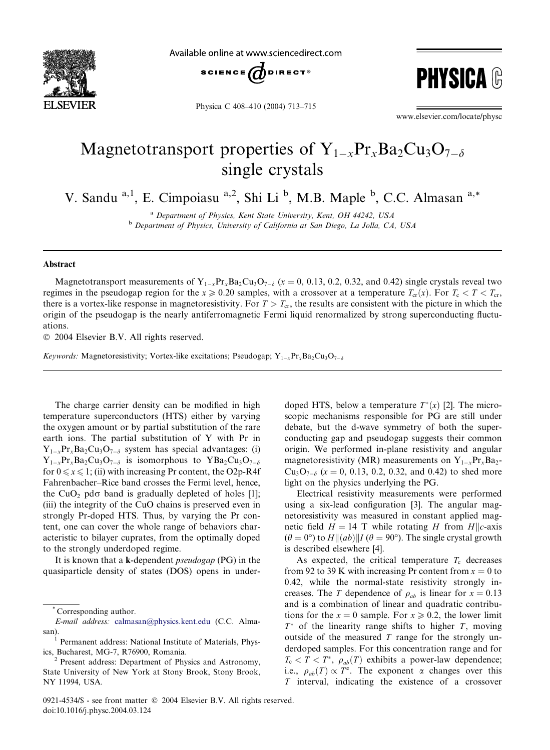

Available online at www.sciencedirect.com





Physica C 408–410 (2004) 713–715

www.elsevier.com/locate/physc

## Magnetotransport properties of  $Y_{1-x}Pr_xBa_2Cu_3O_{7-\delta}$ single crystals

V. Sandu <sup>a, 1</sup>, E. Cimpoiasu <sup>a, 2</sup>, Shi Li <sup>b</sup>, M.B. Maple <sup>b</sup>, C.C. Almasan <sup>a,\*</sup>

a Department of Physics, Kent State University, Kent, OH 44242, USA <sup>b</sup> Department of Physics, University of California at San Diego, La Jolla, CA, USA

## Abstract

Magnetotransport measurements of  $Y_{1-x}P_{x}Ba_{2}Cu_{3}O_{7-\delta}$  (x = 0, 0.13, 0.2, 0.32, and 0.42) single crystals reveal two regimes in the pseudogap region for the  $x \ge 0.20$  samples, with a crossover at a temperature  $T_{cr}(x)$ . For  $T_c < T < T_{cr}$ , there is a vortex-like response in magnetoresistivity. For  $T > T_{cr}$ , the results are consistent with the picture in which the origin of the pseudogap is the nearly antiferromagnetic Fermi liquid renormalized by strong superconducting fluctuations.

2004 Elsevier B.V. All rights reserved.

Keywords: Magnetoresistivity; Vortex-like excitations; Pseudogap;  $Y_{1-x}P_{x}Ba_{2}Cu_{3}O_{7-\delta}$ 

The charge carrier density can be modified in high temperature superconductors (HTS) either by varying the oxygen amount or by partial substitution of the rare earth ions. The partial substitution of Y with Pr in  $Y_{1-x}Pr_xBa_2Cu_3O_{7-\delta}$  system has special advantages: (i)  $Y_{1-x}Pr_xBa_2Cu_3O_{7-\delta}$  is isomorphous to  $YBa_2Cu_3O_{7-\delta}$ for  $0 \le x \le 1$ ; (ii) with increasing Pr content, the O2p-R4f Fahrenbacher–Rice band crosses the Fermi level, hence, the CuO<sub>2</sub> pd $\sigma$  band is gradually depleted of holes [1]; (iii) the integrity of the CuO chains is preserved even in strongly Pr-doped HTS. Thus, by varying the Pr content, one can cover the whole range of behaviors characteristic to bilayer cuprates, from the optimally doped to the strongly underdoped regime.

It is known that a k-dependent pseudogap (PG) in the quasiparticle density of states (DOS) opens in underdoped HTS, below a temperature  $T^*(x)$  [2]. The microscopic mechanisms responsible for PG are still under debate, but the d-wave symmetry of both the superconducting gap and pseudogap suggests their common origin. We performed in-plane resistivity and angular magnetoresistivity (MR) measurements on  $Y_{1-x}Pr_xBa_2$ - $Cu<sub>3</sub>O<sub>7-\delta</sub>$  (x = 0, 0.13, 0.2, 0.32, and 0.42) to shed more light on the physics underlying the PG.

Electrical resistivity measurements were performed using a six-lead configuration [3]. The angular magnetoresistivity was measured in constant applied magnetic field  $H = 14$  T while rotating H from H||c-axis  $(\theta = 0^{\circ})$  to  $H \parallel (ab) \parallel I$  ( $\theta = 90^{\circ}$ ). The single crystal growth is described elsewhere [4].

As expected, the critical temperature  $T_c$  decreases from 92 to 39 K with increasing Pr content from  $x = 0$  to 0.42, while the normal-state resistivity strongly increases. The T dependence of  $\rho_{ab}$  is linear for  $x = 0.13$ and is a combination of linear and quadratic contributions for the  $x = 0$  sample. For  $x \ge 0.2$ , the lower limit  $T^*$  of the linearity range shifts to higher T, moving outside of the measured  $T$  range for the strongly underdoped samples. For this concentration range and for  $T_c < T < T^*$ ,  $\rho_{ab}(T)$  exhibits a power-law dependence; i.e.,  $\rho_{ab}(T) \propto T^{\alpha}$ . The exponent  $\alpha$  changes over this T interval, indicating the existence of a crossover

Corresponding author.

E-mail address: [calmasan@physics.kent.edu](mail to: calmasan@physics.kent.edu) (C.C. Alma-

san).<br><sup>1</sup> Permanent address: National Institute of Materials, Physics, Bucharest, MG-7, R76900, Romania. <sup>2</sup> Present address: Department of Physics and Astronomy,

State University of New York at Stony Brook, Stony Brook, NY 11994, USA.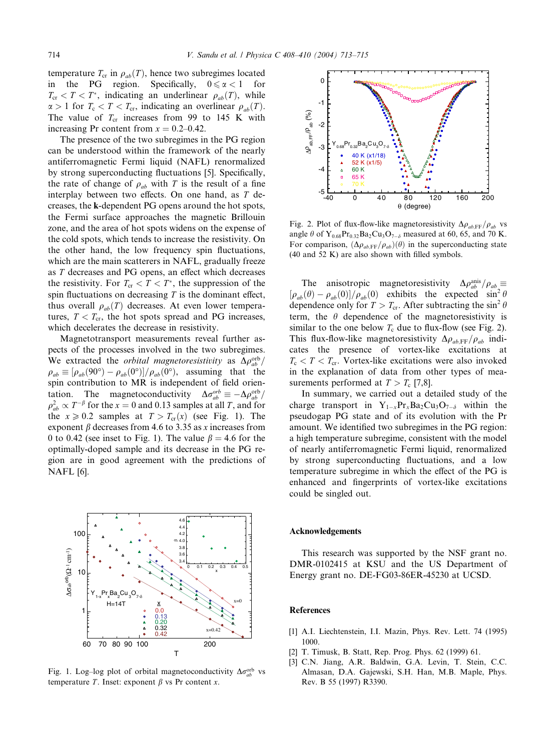temperature  $T_{cr}$  in  $\rho_{ab}(T)$ , hence two subregimes located in the PG region. Specifically,  $0 \le \alpha < 1$  for  $T_{cr} < T < T^*$ , indicating an underlinear  $\rho_{ab}(T)$ , while  $\alpha > 1$  for  $T_c < T < T_{cr}$ , indicating an overlinear  $\rho_{ab}(T)$ . The value of  $T_{cr}$  increases from 99 to 145 K with increasing Pr content from  $x = 0.2{\text -}0.42$ .

The presence of the two subregimes in the PG region can be understood within the framework of the nearly antiferromagnetic Fermi liquid (NAFL) renormalized by strong superconducting fluctuations [5]. Specifically, the rate of change of  $\rho_{ab}$  with T is the result of a fine interplay between two effects. On one hand, as T decreases, the k-dependent PG opens around the hot spots, the Fermi surface approaches the magnetic Brillouin zone, and the area of hot spots widens on the expense of the cold spots, which tends to increase the resistivity. On the other hand, the low frequency spin fluctuations, which are the main scatterers in NAFL, gradually freeze as T decreases and PG opens, an effect which decreases the resistivity. For  $T_{cr} < T < T^*$ , the suppression of the spin fluctuations on decreasing  $T$  is the dominant effect, thus overall  $\rho_{ab}(T)$  decreases. At even lower temperatures,  $T < T_{cr}$ , the hot spots spread and PG increases, which decelerates the decrease in resistivity.

Magnetotransport measurements reveal further aspects of the processes involved in the two subregimes. We extracted the *orbital magnetoresistivity* as  $\Delta \rho_{ab}^{\rm orb}/$  $\rho_{ab} \equiv [\rho_{ab}(90^\circ) - \rho_{ab}(0^\circ)]/\rho_{ab}(0^\circ)$ , assuming that the spin contribution to MR is independent of field orientation. The magnetoconductivity  $\Delta \sigma_{ab}^{\text{orb}} \equiv -\Delta \rho_{ab}^{\text{orb}}/$  $\rho_{ab}^2 \propto T^{-\beta}$  for the  $x=0$  and 0.13 samples at all T, and for the  $x \ge 0.2$  samples at  $T > T_{cr}(x)$  (see Fig. 1). The exponent  $\beta$  decreases from 4.6 to 3.35 as x increases from 0 to 0.42 (see inset to Fig. 1). The value  $\beta = 4.6$  for the optimally-doped sample and its decrease in the PG region are in good agreement with the predictions of NAFL [6].



Fig. 1. Log-log plot of orbital magnetoconductivity  $\Delta \sigma_{ab}^{\text{orb}}$  vs temperature T. Inset: exponent  $\beta$  vs Pr content x.



Fig. 2. Plot of flux-flow-like magnetoresistivity  $\Delta \rho_{ab,FF}/\rho_{ab}$  vs angle  $\theta$  of Y<sub>0.68</sub>Pr<sub>0.32</sub>Ba<sub>2</sub>Cu<sub>3</sub>O<sub>7- $\delta$ </sub> measured at 60, 65, and 70 K. For comparison,  $(\Delta \rho_{ab,\text{FF}}/\rho_{ab})(\theta)$  in the superconducting state (40 and 52 K) are also shown with filled symbols.

The anisotropic magnetoresistivity  $\Delta \rho_{ab}^{\text{anis}} / \rho_{ab} \equiv$  $[\rho_{ab}(\theta) - \rho_{ab}(0)]/\rho_{ab}(0)$  exhibits the expected  $\sin^2 \theta$ dependence only for  $T > T_{cr}$ . After subtracting the sin<sup>2</sup>  $\theta$ term, the  $\theta$  dependence of the magnetoresistivity is similar to the one below  $T_c$  due to flux-flow (see Fig. 2). This flux-flow-like magnetoresistivity  $\Delta \rho_{ab,FF}/\rho_{ab}$  indicates the presence of vortex-like excitations at  $T_c < T < T_{cr}$ . Vortex-like excitations were also invoked in the explanation of data from other types of measurements performed at  $T > T_c$  [7,8].

In summary, we carried out a detailed study of the charge transport in  $Y_{1-x}Pr_xBa_2Cu_3O_{7-\delta}$  within the pseudogap PG state and of its evolution with the Pr amount. We identified two subregimes in the PG region: a high temperature subregime, consistent with the model of nearly antiferromagnetic Fermi liquid, renormalized by strong superconducting fluctuations, and a low temperature subregime in which the effect of the PG is enhanced and fingerprints of vortex-like excitations could be singled out.

## Acknowledgements

This research was supported by the NSF grant no. DMR-0102415 at KSU and the US Department of Energy grant no. DE-FG03-86ER-45230 at UCSD.

## References

- [1] A.I. Liechtenstein, I.I. Mazin, Phys. Rev. Lett. 74 (1995) 1000.
- [2] T. Timusk, B. Statt, Rep. Prog. Phys. 62 (1999) 61.
- [3] C.N. Jiang, A.R. Baldwin, G.A. Levin, T. Stein, C.C. Almasan, D.A. Gajewski, S.H. Han, M.B. Maple, Phys. Rev. B 55 (1997) R3390.